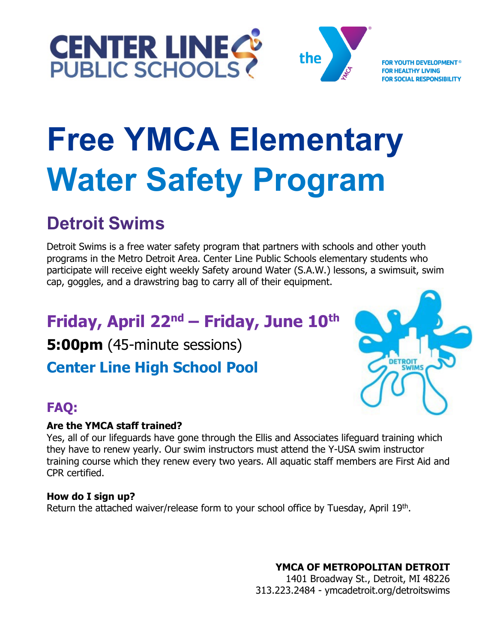



**FOR YOUTH DEVELOPMENT® HY LIVING CIAL RESPONSIBILITY** 

# **Free YMCA Elementary Water Safety Program**

# **Detroit Swims**

Detroit Swims is a free water safety program that partners with schools and other youth programs in the Metro Detroit Area. Center Line Public Schools elementary students who participate will receive eight weekly Safety around Water (S.A.W.) lessons, a swimsuit, swim cap, goggles, and a drawstring bag to carry all of their equipment.

# **Friday, April 22nd – Friday, June 10th**

**5:00pm** (45-minute sessions)

**Center Line High School Pool**



# **FAQ:**

## **Are the YMCA staff trained?**

Yes, all of our lifeguards have gone through the Ellis and Associates lifeguard training which they have to renew yearly. Our swim instructors must attend the Y-USA swim instructor training course which they renew every two years. All aquatic staff members are First Aid and CPR certified.

## **How do I sign up?**

Return the attached waiver/release form to your school office by Tuesday, April 19<sup>th</sup>.

**YMCA OF METROPOLITAN DETROIT** 

1401 Broadway St., Detroit, MI 48226 313.223.2484 - ymcadetroit.org/detroitswims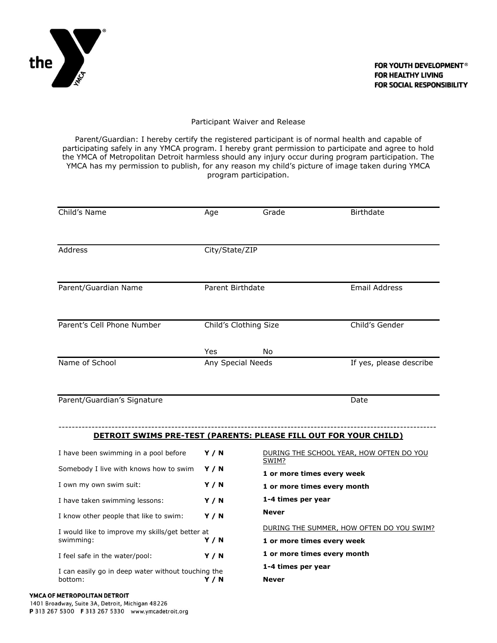

#### Participant Waiver and Release

Parent/Guardian: I hereby certify the registered participant is of normal health and capable of participating safely in any YMCA program. I hereby grant permission to participate and agree to hold the YMCA of Metropolitan Detroit harmless should any injury occur during program participation. The YMCA has my permission to publish, for any reason my child's picture of image taken during YMCA program participation.

| Child's Name                                                            | Age                   | Grade                                             | <b>Birthdate</b>                          |
|-------------------------------------------------------------------------|-----------------------|---------------------------------------------------|-------------------------------------------|
|                                                                         |                       |                                                   |                                           |
| Address                                                                 | City/State/ZIP        |                                                   |                                           |
|                                                                         |                       |                                                   |                                           |
| Parent/Guardian Name                                                    | Parent Birthdate      |                                                   | <b>Email Address</b>                      |
|                                                                         |                       |                                                   |                                           |
| Parent's Cell Phone Number                                              | Child's Clothing Size |                                                   | Child's Gender                            |
|                                                                         | Yes                   | No                                                |                                           |
| Name of School                                                          | Any Special Needs     |                                                   | If yes, please describe                   |
|                                                                         |                       |                                                   |                                           |
| Parent/Guardian's Signature                                             |                       |                                                   | Date                                      |
|                                                                         |                       |                                                   |                                           |
| <b>DETROIT SWIMS PRE-TEST (PARENTS: PLEASE FILL OUT FOR YOUR CHILD)</b> |                       |                                                   |                                           |
| I have been swimming in a pool before                                   | Y/N                   | DURING THE SCHOOL YEAR, HOW OFTEN DO YOU<br>SWIM? |                                           |
| Somebody I live with knows how to swim                                  | Y/N                   | 1 or more times every week                        |                                           |
| I own my own swim suit:                                                 | Y/N                   | 1 or more times every month                       |                                           |
| I have taken swimming lessons:                                          | Y/N                   | 1-4 times per year                                |                                           |
| I know other people that like to swim:                                  | Y/N                   | <b>Never</b>                                      |                                           |
| I would like to improve my skills/get better at<br>swimming:            | Y/N                   | 1 or more times every week                        | DURING THE SUMMER, HOW OFTEN DO YOU SWIM? |
| I feel safe in the water/pool:                                          | <b>Y / N</b>          | 1 or more times every month                       |                                           |
| I can easily go in deep water without touching the<br>bottom:           | Y/N                   | 1-4 times per year<br><b>Never</b>                |                                           |

#### YMCA OF METROPOLITAN DETROIT